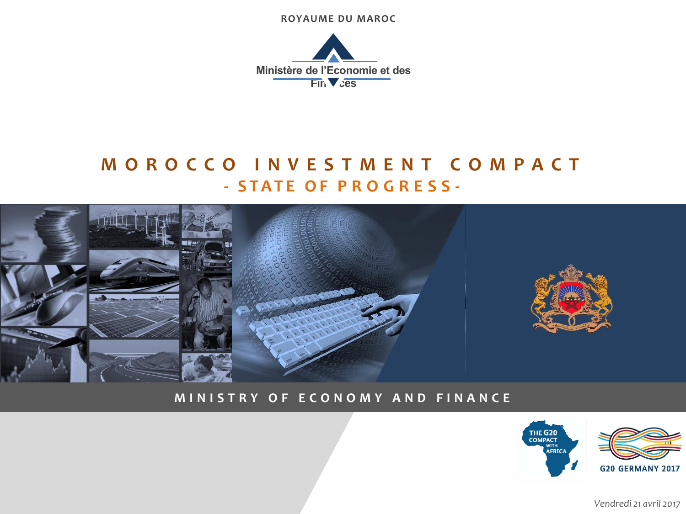**ROYAUME DU MAROC**



# **M O R O C C O I N V E S T M E N T C O M P A C T - S T A T E O F P R O G R E S S -**



#### **M I N I S T R Y O F E C O N O M Y A N D F I N A N C E**



*Vendredi 21 avril 2017*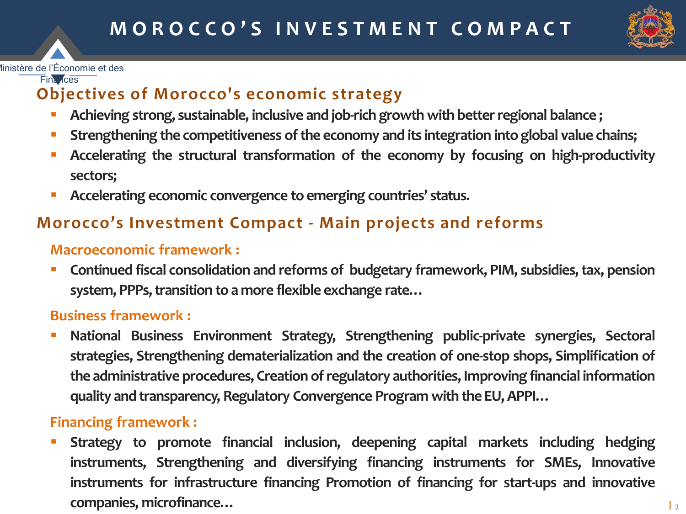

#### Ministère de l'Économie et des

Finances

### **Objectives of Morocco's economic strategy**

- **Achieving strong, sustainable, inclusive and job-rich growth with betterregional balance ;**
- **EXPLORERIER EXPLORERIES INTEGRY <b>Strengthening** the componitions **integration** into global value chains;
- **Accelerating the structural transformation of the economy by focusing on high-productivity sectors;**
- **Accelerating economic convergence to emerging countries' status.**

### **Morocco's Investment Compact - Main projects and reforms**

### **Macroeconomic framework :**

 **Continued fiscal consolidation and reforms of budgetary framework, PIM, subsidies,tax, pension system, PPPs,transition to a more flexible exchange rate…**

#### **Business framework :**

 **National Business Environment Strategy, Strengthening public-private synergies, Sectoral strategies, Strengthening dematerialization and the creation of one-stop shops, Simplification of the administrative procedures, Creation ofregulatory authorities, Improving financial information quality and transparency, Regulatory Convergence Program with the EU,APPI…**

### **Financing framework :**

 **Strategy to promote financial inclusion, deepening capital markets including hedging instruments, Strengthening and diversifying financing instruments for SMEs, Innovative instruments for infrastructure financing Promotion of financing for start-ups and innovative companies, microfinance…**